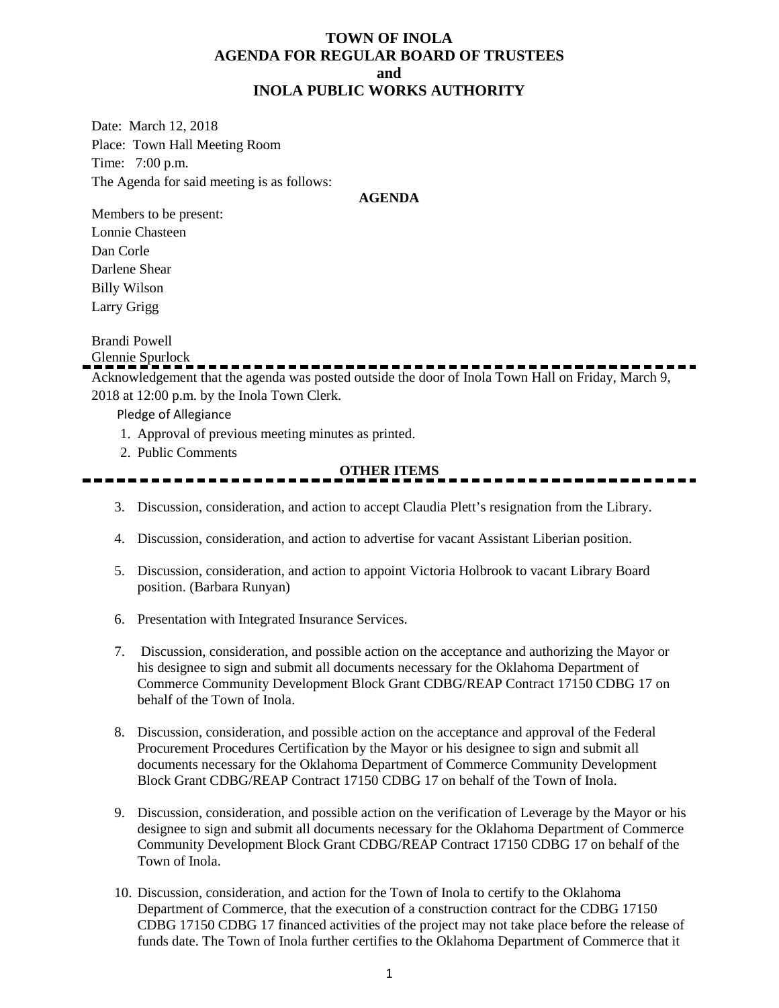### **TOWN OF INOLA AGENDA FOR REGULAR BOARD OF TRUSTEES and INOLA PUBLIC WORKS AUTHORITY**

Date: March 12, 2018 Place: Town Hall Meeting Room Time: 7:00 p.m. The Agenda for said meeting is as follows:

#### **AGENDA**

Members to be present: Lonnie Chasteen Dan Corle Darlene Shear Billy Wilson Larry Grigg

Brandi Powell

Glennie Spurlock

Acknowledgement that the agenda was posted outside the door of Inola Town Hall on Friday, March 9, 2018 at 12:00 p.m. by the Inola Town Clerk.

Pledge of Allegiance

- 1. Approval of previous meeting minutes as printed.
- 2. Public Comments

### **OTHER ITEMS**

- 3. Discussion, consideration, and action to accept Claudia Plett's resignation from the Library.
- 4. Discussion, consideration, and action to advertise for vacant Assistant Liberian position.
- 5. Discussion, consideration, and action to appoint Victoria Holbrook to vacant Library Board position. (Barbara Runyan)
- 6. Presentation with Integrated Insurance Services.
- 7. Discussion, consideration, and possible action on the acceptance and authorizing the Mayor or his designee to sign and submit all documents necessary for the Oklahoma Department of Commerce Community Development Block Grant CDBG/REAP Contract 17150 CDBG 17 on behalf of the Town of Inola.
- 8. Discussion, consideration, and possible action on the acceptance and approval of the Federal Procurement Procedures Certification by the Mayor or his designee to sign and submit all documents necessary for the Oklahoma Department of Commerce Community Development Block Grant CDBG/REAP Contract 17150 CDBG 17 on behalf of the Town of Inola.
- 9. Discussion, consideration, and possible action on the verification of Leverage by the Mayor or his designee to sign and submit all documents necessary for the Oklahoma Department of Commerce Community Development Block Grant CDBG/REAP Contract 17150 CDBG 17 on behalf of the Town of Inola.
- 10. Discussion, consideration, and action for the Town of Inola to certify to the Oklahoma Department of Commerce, that the execution of a construction contract for the CDBG 17150 CDBG 17150 CDBG 17 financed activities of the project may not take place before the release of funds date. The Town of Inola further certifies to the Oklahoma Department of Commerce that it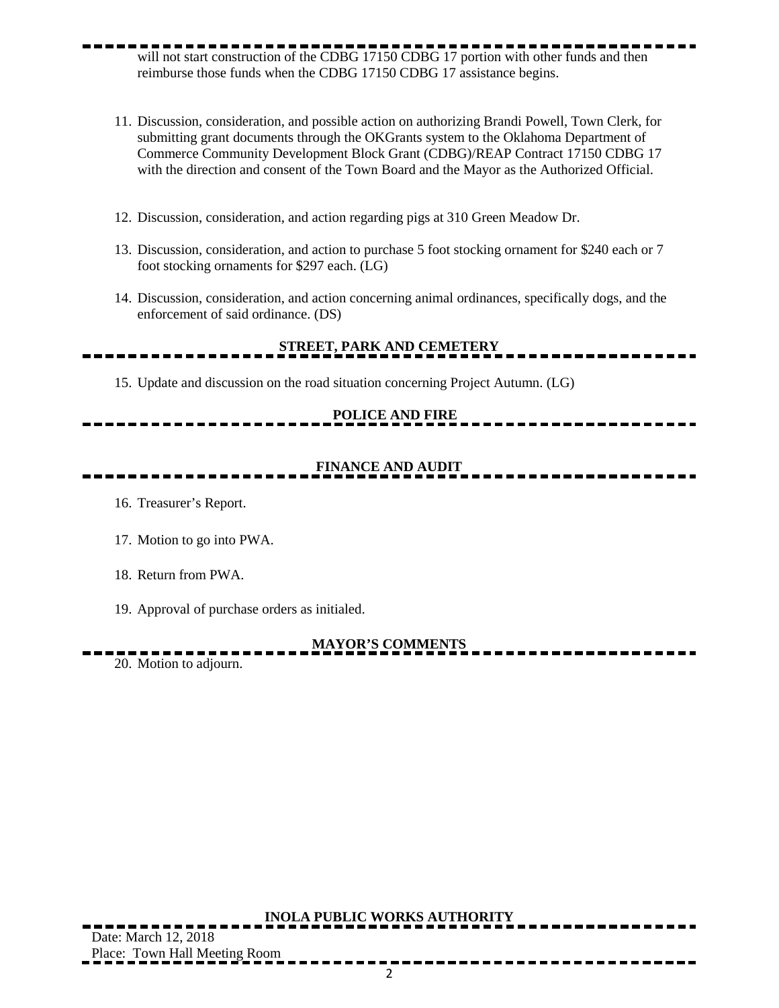- will not start construction of the CDBG 17150 CDBG 17 portion with other funds and then reimburse those funds when the CDBG 17150 CDBG 17 assistance begins.
	- 11. Discussion, consideration, and possible action on authorizing Brandi Powell, Town Clerk, for submitting grant documents through the OKGrants system to the Oklahoma Department of Commerce Community Development Block Grant (CDBG)/REAP Contract 17150 CDBG 17 with the direction and consent of the Town Board and the Mayor as the Authorized Official.
	- 12. Discussion, consideration, and action regarding pigs at 310 Green Meadow Dr.
	- 13. Discussion, consideration, and action to purchase 5 foot stocking ornament for \$240 each or 7 foot stocking ornaments for \$297 each. (LG)
	- 14. Discussion, consideration, and action concerning animal ordinances, specifically dogs, and the enforcement of said ordinance. (DS)

# **STREET, PARK AND CEMETERY**

15. Update and discussion on the road situation concerning Project Autumn. (LG)

### **POLICE AND FIRE**

## **FINANCE AND AUDIT**

- 16. Treasurer's Report.
- 17. Motion to go into PWA.
- 18. Return from PWA.
- 19. Approval of purchase orders as initialed.

### **MAYOR'S COMMENTS**

20. Motion to adjourn.